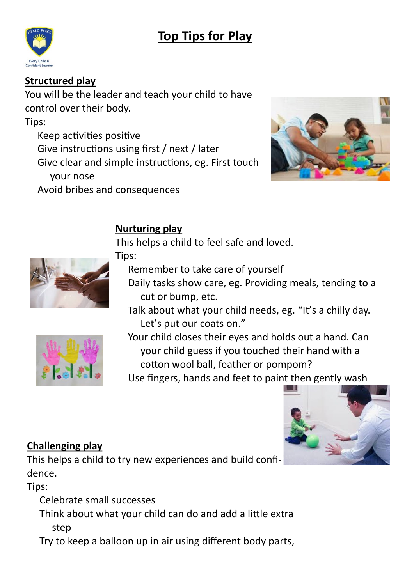# **Top Tips for Play**



#### **Structured play**

You will be the leader and teach your child to have control over their body. Tips: Keep activities positive

Give instructions using first / next / later

Give clear and simple instructions, eg. First touch your nose

Avoid bribes and consequences



### **Nurturing play**

This helps a child to feel safe and loved.



Tips:

Remember to take care of yourself

- Daily tasks show care, eg. Providing meals, tending to a cut or bump, etc.
- Talk about what your child needs, eg. "It's a chilly day. Let's put our coats on."
- 

Your child closes their eyes and holds out a hand. Can your child guess if you touched their hand with a cotton wool ball, feather or pompom?

Use fingers, hands and feet to paint then gently wash



#### **Challenging play**

This helps a child to try new experiences and build confidence.

Tips:

Celebrate small successes

Think about what your child can do and add a little extra step

Try to keep a balloon up in air using different body parts,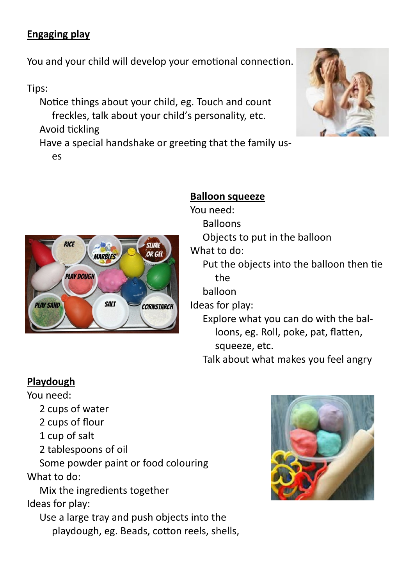### **Engaging play**

You and your child will develop your emotional connection.

#### Tips:

Notice things about your child, eg. Touch and count freckles, talk about your child's personality, etc. Avoid tickling Have a special handshake or greeting that the family us-

es



#### **Balloon squeeze**

You need: Balloons Objects to put in the balloon What to do: Put the objects into the balloon then tie the balloon Ideas for play: Explore what you can do with the balloons, eg. Roll, poke, pat, flatten, squeeze, etc. Talk about what makes you feel angry

#### **Playdough**

You need:

- 2 cups of water
- 2 cups of flour
- 1 cup of salt
- 2 tablespoons of oil

Some powder paint or food colouring What to do:

Mix the ingredients together Ideas for play:

Use a large tray and push objects into the playdough, eg. Beads, cotton reels, shells,



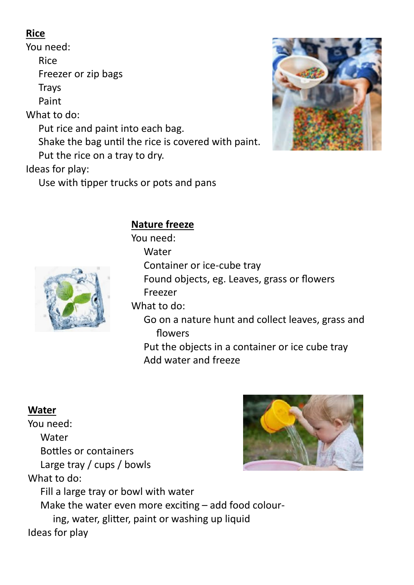### **Rice**

You need: Rice Freezer or zip bags **Trays** Paint What to do: Put rice and paint into each bag. Shake the bag until the rice is covered with paint. Put the rice on a tray to dry. Ideas for play:



#### Use with tipper trucks or pots and pans

## **Nature freeze**

You need: **Water** Container or ice-cube tray Found objects, eg. Leaves, grass or flowers Freezer What to do: Go on a nature hunt and collect leaves, grass and flowers Put the objects in a container or ice cube tray

Add water and freeze

#### **Water**

You need: Water Bottles or containers Large tray / cups / bowls What to do: Fill a large tray or bowl with water Make the water even more exciting – add food colouring, water, glitter, paint or washing up liquid Ideas for play